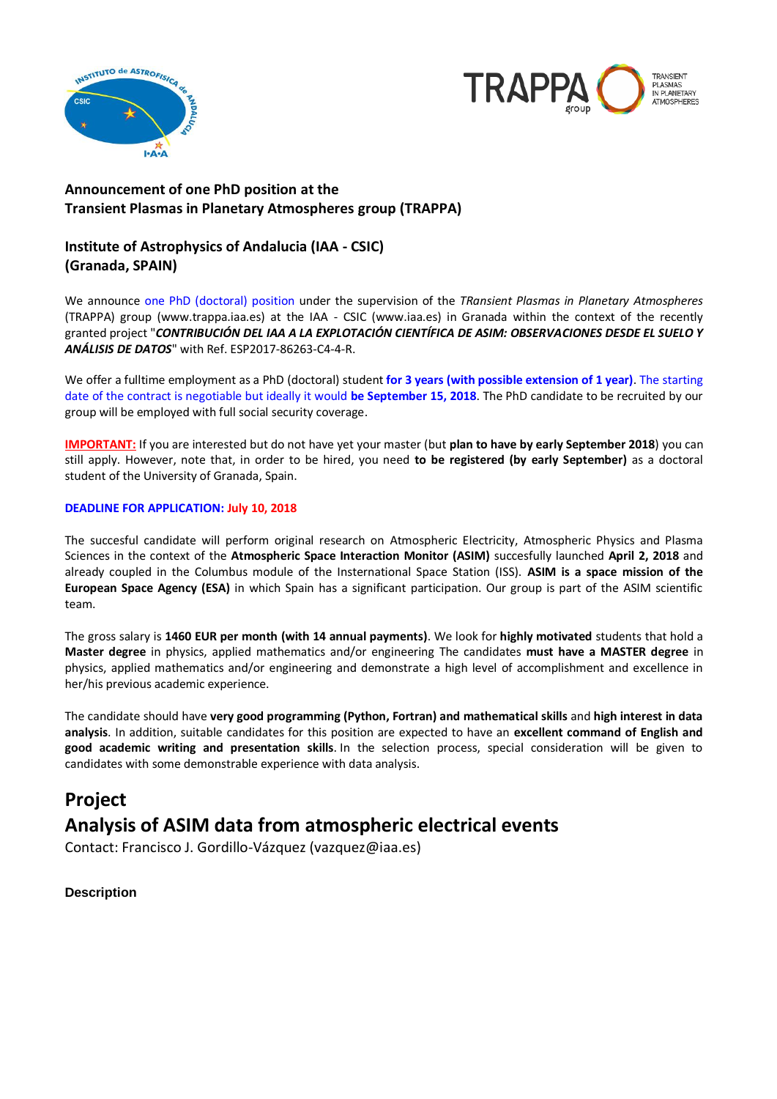



## **Announcement of one PhD position at the Transient Plasmas in Planetary Atmospheres group (TRAPPA)**

## **Institute of Astrophysics of Andalucia (IAA - CSIC) (Granada, SPAIN)**

We announce one PhD (doctoral) position under the supervision of the *TRansient Plasmas in Planetary Atmospheres* (TRAPPA) group (www.trappa.iaa.es) at the IAA - CSIC (www.iaa.es) in Granada within the context of the recently granted project "*CONTRIBUCIÓN DEL IAA A LA EXPLOTACIÓN CIENTÍFICA DE ASIM: OBSERVACIONES DESDE EL SUELO Y ANÁLISIS DE DATOS*" with Ref. ESP2017-86263-C4-4-R.

We offer a fulltime employment as a PhD (doctoral) student **for 3 years (with possible extension of 1 year)**. The starting date of the contract is negotiable but ideally it would **be September 15, 2018**. The PhD candidate to be recruited by our group will be employed with full social security coverage.

**IMPORTANT:** If you are interested but do not have yet your master (but **plan to have by early September 2018**) you can still apply. However, note that, in order to be hired, you need **to be registered (by early September)** as a doctoral student of the University of Granada, Spain.

#### **DEADLINE FOR APPLICATION: July 10, 2018**

The succesful candidate will perform original research on Atmospheric Electricity, Atmospheric Physics and Plasma Sciences in the context of the **Atmospheric Space Interaction Monitor (ASIM)** succesfully launched **April 2, 2018** and already coupled in the Columbus module of the Insternational Space Station (ISS). **ASIM is a space mission of the European Space Agency (ESA)** in which Spain has a significant participation. Our group is part of the ASIM scientific team.

The gross salary is **1460 EUR per month (with 14 annual payments)**. We look for **highly motivated** students that hold a **Master degree** in physics, applied mathematics and/or engineering The candidates **must have a MASTER degree** in physics, applied mathematics and/or engineering and demonstrate a high level of accomplishment and excellence in her/his previous academic experience.

The candidate should have **very good programming (Python, Fortran) and mathematical skills** and **high interest in data analysis**. In addition, suitable candidates for this position are expected to have an **excellent command of English and good academic writing and presentation skills**. In the selection process, special consideration will be given to candidates with some demonstrable experience with data analysis.

# **Project Analysis of ASIM data from atmospheric electrical events**

Contact: Francisco J. Gordillo-Vázquez (vazquez@iaa.es)

### **Description**